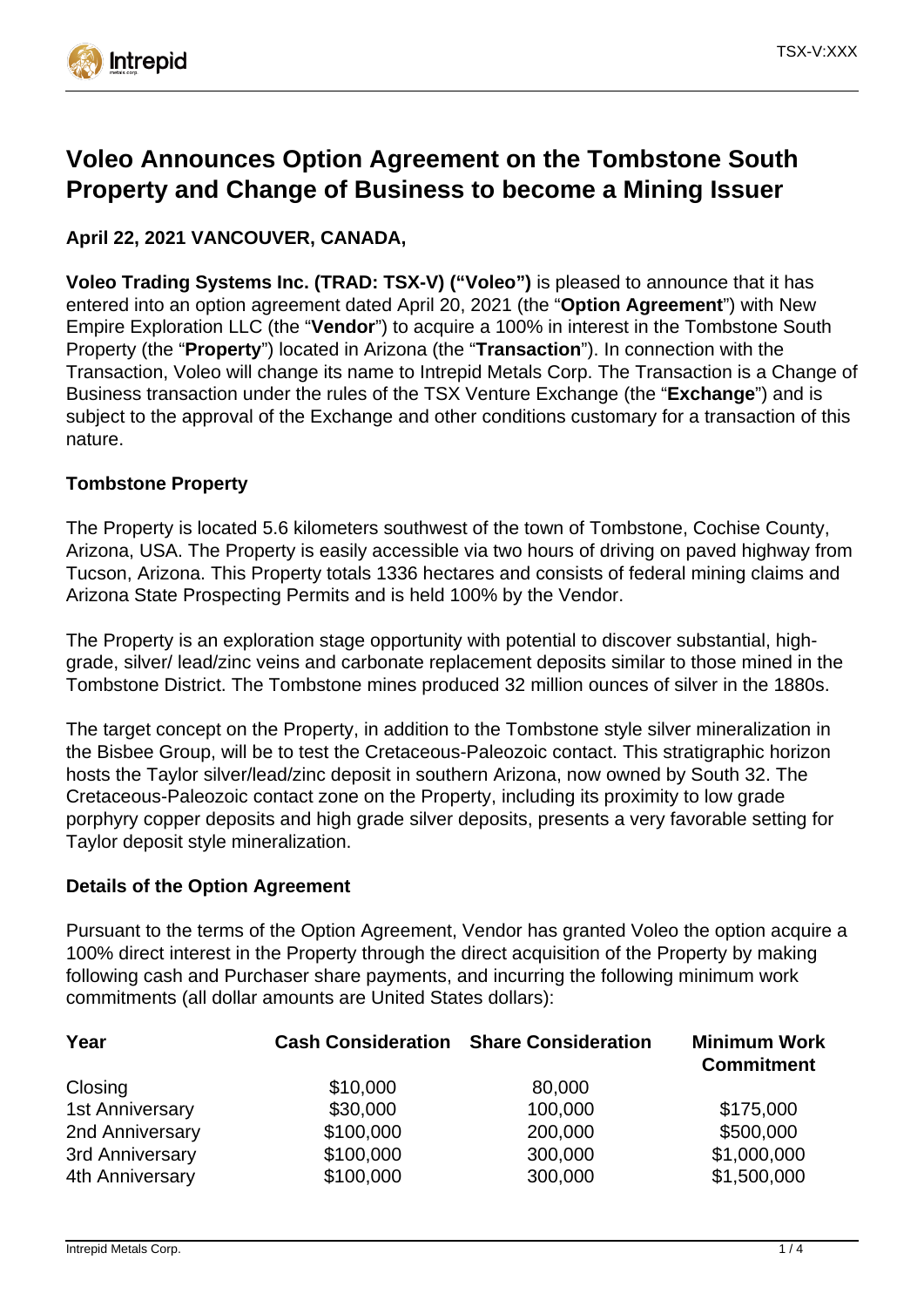

# **Voleo Announces Option Agreement on the Tombstone South Property and Change of Business to become a Mining Issuer**

## **April 22, 2021 VANCOUVER, CANADA,**

**Voleo Trading Systems Inc. (TRAD: TSX-V) ("Voleo")** is pleased to announce that it has entered into an option agreement dated April 20, 2021 (the "**Option Agreement**") with New Empire Exploration LLC (the "**Vendor**") to acquire a 100% in interest in the Tombstone South Property (the "**Property**") located in Arizona (the "**Transaction**"). In connection with the Transaction, Voleo will change its name to Intrepid Metals Corp. The Transaction is a Change of Business transaction under the rules of the TSX Venture Exchange (the "**Exchange**") and is subject to the approval of the Exchange and other conditions customary for a transaction of this nature.

### **Tombstone Property**

The Property is located 5.6 kilometers southwest of the town of Tombstone, Cochise County, Arizona, USA. The Property is easily accessible via two hours of driving on paved highway from Tucson, Arizona. This Property totals 1336 hectares and consists of federal mining claims and Arizona State Prospecting Permits and is held 100% by the Vendor.

The Property is an exploration stage opportunity with potential to discover substantial, highgrade, silver/ lead/zinc veins and carbonate replacement deposits similar to those mined in the Tombstone District. The Tombstone mines produced 32 million ounces of silver in the 1880s.

The target concept on the Property, in addition to the Tombstone style silver mineralization in the Bisbee Group, will be to test the Cretaceous-Paleozoic contact. This stratigraphic horizon hosts the Taylor silver/lead/zinc deposit in southern Arizona, now owned by South 32. The Cretaceous-Paleozoic contact zone on the Property, including its proximity to low grade porphyry copper deposits and high grade silver deposits, presents a very favorable setting for Taylor deposit style mineralization.

#### **Details of the Option Agreement**

Pursuant to the terms of the Option Agreement, Vendor has granted Voleo the option acquire a 100% direct interest in the Property through the direct acquisition of the Property by making following cash and Purchaser share payments, and incurring the following minimum work commitments (all dollar amounts are United States dollars):

|                        |                    | <b>Minimum Work</b><br><b>Commitment</b>      |
|------------------------|--------------------|-----------------------------------------------|
| \$10,000               | 80,000             |                                               |
| \$30,000               | 100,000            | \$175,000                                     |
| \$100,000              | 200,000            | \$500,000                                     |
| \$100,000<br>\$100,000 | 300,000<br>300,000 | \$1,000,000<br>\$1,500,000                    |
|                        |                    | <b>Cash Consideration Share Consideration</b> |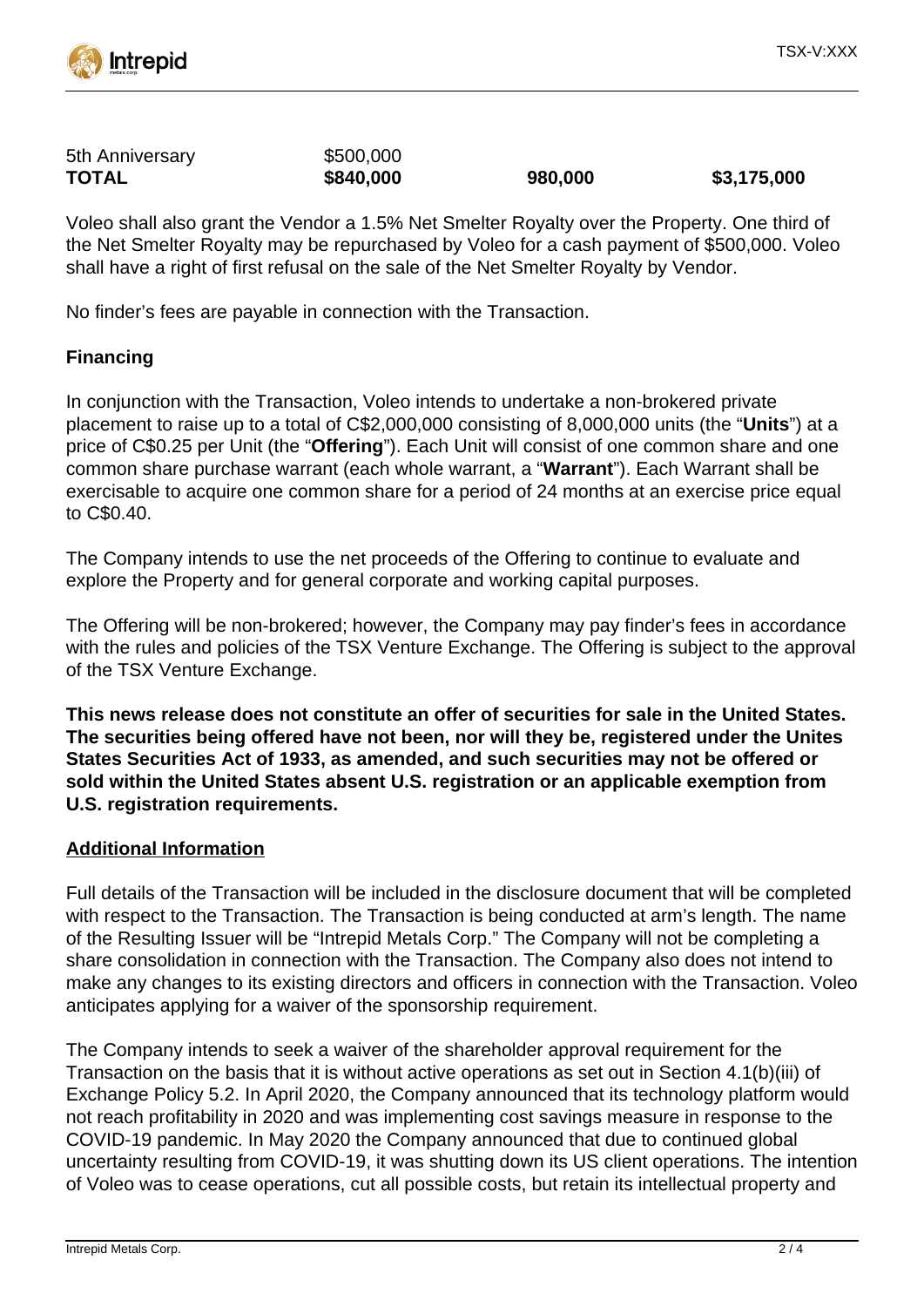

| 5th Anniversary | \$500,000 |         |             |
|-----------------|-----------|---------|-------------|
| <b>TOTAL</b>    | \$840,000 | 980,000 | \$3,175,000 |

Voleo shall also grant the Vendor a 1.5% Net Smelter Royalty over the Property. One third of the Net Smelter Royalty may be repurchased by Voleo for a cash payment of \$500,000. Voleo shall have a right of first refusal on the sale of the Net Smelter Royalty by Vendor.

No finder's fees are payable in connection with the Transaction.

### **Financing**

In conjunction with the Transaction, Voleo intends to undertake a non-brokered private placement to raise up to a total of C\$2,000,000 consisting of 8,000,000 units (the "**Units**") at a price of C\$0.25 per Unit (the "**Offering**"). Each Unit will consist of one common share and one common share purchase warrant (each whole warrant, a "**Warrant**"). Each Warrant shall be exercisable to acquire one common share for a period of 24 months at an exercise price equal to C\$0.40.

The Company intends to use the net proceeds of the Offering to continue to evaluate and explore the Property and for general corporate and working capital purposes.

The Offering will be non-brokered; however, the Company may pay finder's fees in accordance with the rules and policies of the TSX Venture Exchange. The Offering is subject to the approval of the TSX Venture Exchange.

**This news release does not constitute an offer of securities for sale in the United States. The securities being offered have not been, nor will they be, registered under the Unites States Securities Act of 1933, as amended, and such securities may not be offered or sold within the United States absent U.S. registration or an applicable exemption from U.S. registration requirements.**

#### **Additional Information**

Full details of the Transaction will be included in the disclosure document that will be completed with respect to the Transaction. The Transaction is being conducted at arm's length. The name of the Resulting Issuer will be "Intrepid Metals Corp." The Company will not be completing a share consolidation in connection with the Transaction. The Company also does not intend to make any changes to its existing directors and officers in connection with the Transaction. Voleo anticipates applying for a waiver of the sponsorship requirement.

The Company intends to seek a waiver of the shareholder approval requirement for the Transaction on the basis that it is without active operations as set out in Section 4.1(b)(iii) of Exchange Policy 5.2. In April 2020, the Company announced that its technology platform would not reach profitability in 2020 and was implementing cost savings measure in response to the COVID-19 pandemic. In May 2020 the Company announced that due to continued global uncertainty resulting from COVID-19, it was shutting down its US client operations. The intention of Voleo was to cease operations, cut all possible costs, but retain its intellectual property and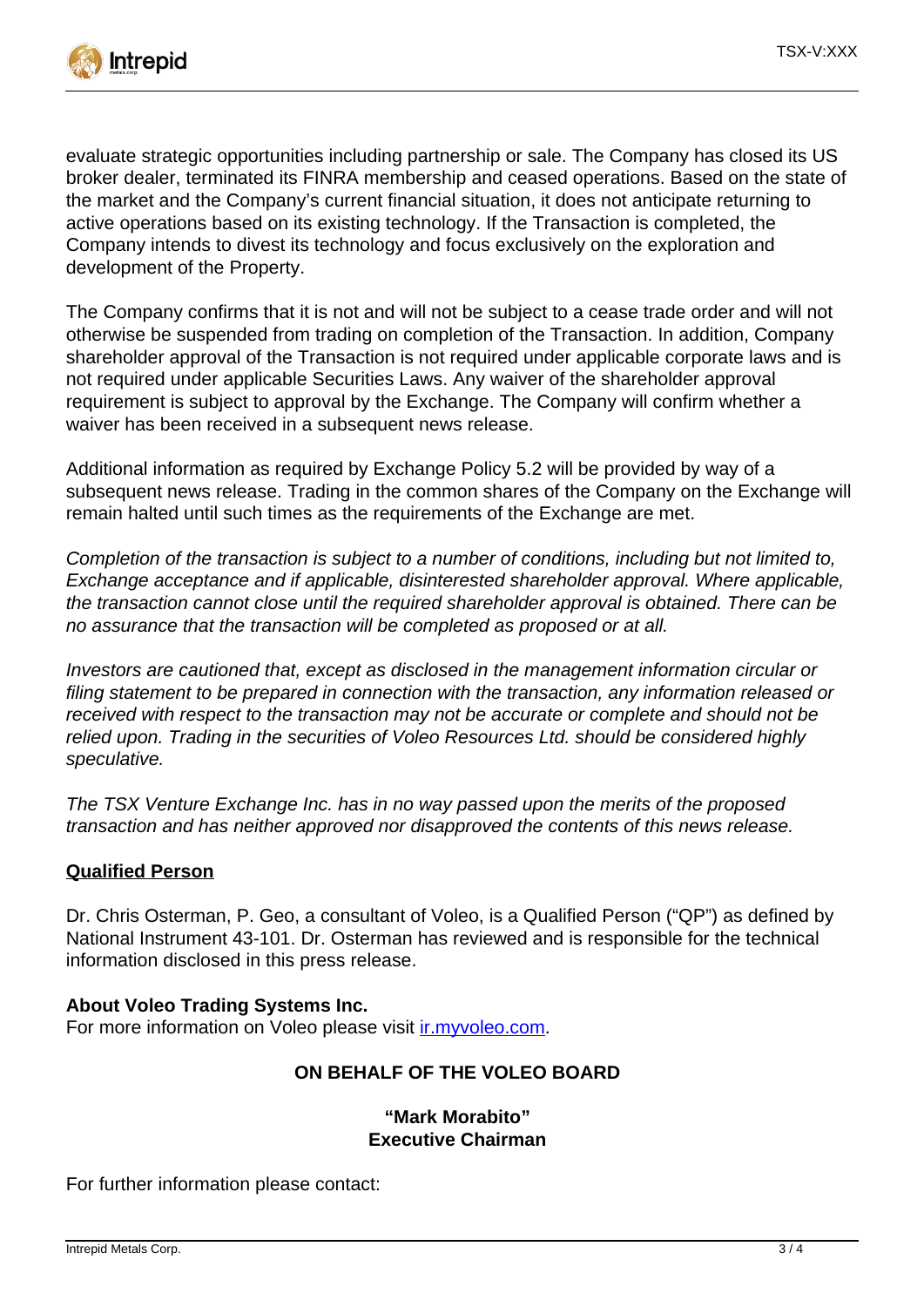

evaluate strategic opportunities including partnership or sale. The Company has closed its US broker dealer, terminated its FINRA membership and ceased operations. Based on the state of the market and the Company's current financial situation, it does not anticipate returning to active operations based on its existing technology. If the Transaction is completed, the Company intends to divest its technology and focus exclusively on the exploration and development of the Property.

The Company confirms that it is not and will not be subject to a cease trade order and will not otherwise be suspended from trading on completion of the Transaction. In addition, Company shareholder approval of the Transaction is not required under applicable corporate laws and is not required under applicable Securities Laws. Any waiver of the shareholder approval requirement is subject to approval by the Exchange. The Company will confirm whether a waiver has been received in a subsequent news release.

Additional information as required by Exchange Policy 5.2 will be provided by way of a subsequent news release. Trading in the common shares of the Company on the Exchange will remain halted until such times as the requirements of the Exchange are met.

Completion of the transaction is subject to a number of conditions, including but not limited to, Exchange acceptance and if applicable, disinterested shareholder approval. Where applicable, the transaction cannot close until the required shareholder approval is obtained. There can be no assurance that the transaction will be completed as proposed or at all.

Investors are cautioned that, except as disclosed in the management information circular or filing statement to be prepared in connection with the transaction, any information released or received with respect to the transaction may not be accurate or complete and should not be relied upon. Trading in the securities of Voleo Resources Ltd. should be considered highly speculative.

The TSX Venture Exchange Inc. has in no way passed upon the merits of the proposed transaction and has neither approved nor disapproved the contents of this news release.

#### **Qualified Person**

Dr. Chris Osterman, P. Geo, a consultant of Voleo, is a Qualified Person ("QP") as defined by National Instrument 43-101. Dr. Osterman has reviewed and is responsible for the technical information disclosed in this press release.

#### **About Voleo Trading Systems Inc.**

For more information on Voleo please visit [ir.myvoleo.com](https://ir.myvoleo.com/).

#### **ON BEHALF OF THE VOLEO BOARD**

#### **"Mark Morabito" Executive Chairman**

For further information please contact: